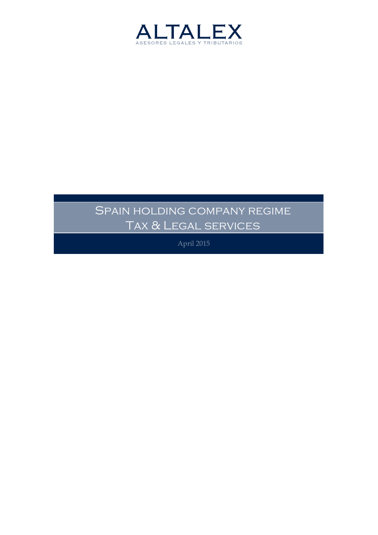

# SPAIN HOLDING COMPANY REGIME Tax & Legal services

April 2015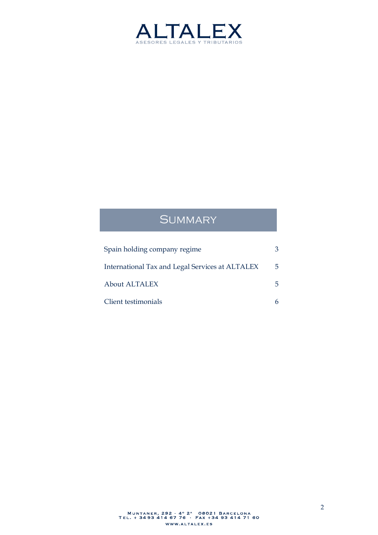

## **SUMMARY**

| Spain holding company regime                    |                |
|-------------------------------------------------|----------------|
| International Tax and Legal Services at ALTALEX | $\overline{5}$ |
| <b>About ALTALEX</b>                            | 5.             |
| Client testimonials                             |                |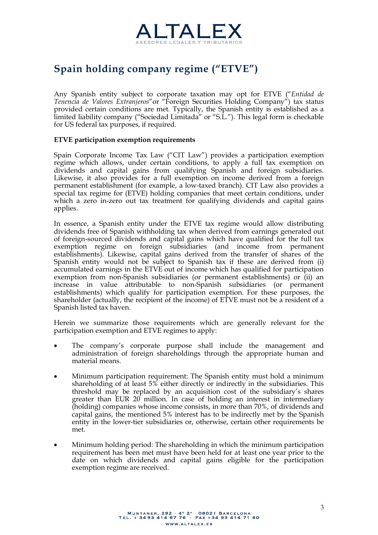

## **Spain holding company regime ("ETVE")**

Any Spanish entity subject to corporate taxation may opt for ETVE ("*Entidad de Tenencia de Valores Extranjeros*"or "Foreign Securities Holding Company") tax status provided certain conditions are met. Typically, the Spanish entity is established as a limited liability company ("Sociedad Limitada" or "S.L."). This legal form is checkable for US federal tax purposes, if required.

#### **ETVE participation exemption requirements**

Spain Corporate Income Tax Law ("CIT Law") provides a participation exemption regime which allows, under certain conditions, to apply a full tax exemption on dividends and capital gains from qualifying Spanish and foreign subsidiaries. Likewise, it also provides for a full exemption on income derived from a foreign permanent establishment (for example, a low-taxed branch). CIT Law also provides a special tax regime for (ETVE) holding companies that meet certain conditions, under which a zero in-zero out tax treatment for qualifying dividends and capital gains applies.

In essence, a Spanish entity under the ETVE tax regime would allow distributing dividends free of Spanish withholding tax when derived from earnings generated out of foreign-sourced dividends and capital gains which have qualified for the full tax exemption regime on foreign subsidiaries (and income from permanent establishments). Likewise, capital gains derived from the transfer of shares of the Spanish entity would not be subject to Spanish tax if these are derived from (i) accumulated earnings in the ETVE out of income which has qualified for participation exemption from non-Spanish subsidiaries (or permanent establishments) or (ii) an increase in value attributable to non-Spanish subsidiaries (or permanent establishments) which qualify for participation exemption. For these purposes, the shareholder (actually, the recipient of the income) of ETVE must not be a resident of a Spanish listed tax haven.

Herein we summarize those requirements which are generally relevant for the participation exemption and ETVE regimes to apply:

- The company's corporate purpose shall include the management and administration of foreign shareholdings through the appropriate human and material means.
- · Minimum participation requirement: The Spanish entity must hold a minimum shareholding of at least 5% either directly or indirectly in the subsidiaries. This threshold may be replaced by an acquisition cost of the subsidiary's shares greater than EUR 20 million. In case of holding an interest in intermediary (holding) companies whose income consists, in more than 70%, of dividends and capital gains, the mentioned 5% interest has to be indirectly met by the Spanish entity in the lower-tier subsidiaries or, otherwise, certain other requirements be met.
- · Minimum holding period: The shareholding in which the minimum participation requirement has been met must have been held for at least one year prior to the date on which dividends and capital gains eligible for the participation exemption regime are received.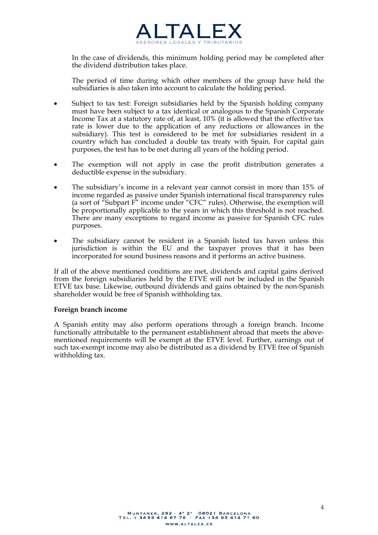

In the case of dividends, this minimum holding period may be completed after the dividend distribution takes place.

The period of time during which other members of the group have held the subsidiaries is also taken into account to calculate the holding period.

- Subject to tax test: Foreign subsidiaries held by the Spanish holding company must have been subject to a tax identical or analogous to the Spanish Corporate Income Tax at a statutory rate of, at least, 10% (it is allowed that the effective tax rate is lower due to the application of any reductions or allowances in the subsidiary). This test is considered to be met for subsidiaries resident in a country which has concluded a double tax treaty with Spain. For capital gain purposes, the test has to be met during all years of the holding period.
- · The exemption will not apply in case the profit distribution generates a deductible expense in the subsidiary.
- The subsidiary's income in a relevant year cannot consist in more than 15% of income regarded as passive under Spanish international fiscal transparency rules (a sort of "Subpart  $F''$  income under "CFC" rules). Otherwise, the exemption will be proportionally applicable to the years in which this threshold is not reached. There are many exceptions to regard income as passive for Spanish CFC rules purposes.
- The subsidiary cannot be resident in a Spanish listed tax haven unless this jurisdiction is within the EU and the taxpayer proves that it has been incorporated for sound business reasons and it performs an active business.

If all of the above mentioned conditions are met, dividends and capital gains derived from the foreign subsidiaries held by the ETVE will not be included in the Spanish ETVE tax base. Likewise, outbound dividends and gains obtained by the non-Spanish shareholder would be free of Spanish withholding tax.

#### **Foreign branch income**

A Spanish entity may also perform operations through a foreign branch. Income functionally attributable to the permanent establishment abroad that meets the abovementioned requirements will be exempt at the ETVE level. Further, earnings out of such tax-exempt income may also be distributed as a dividend by ETVE free of Spanish withholding tax.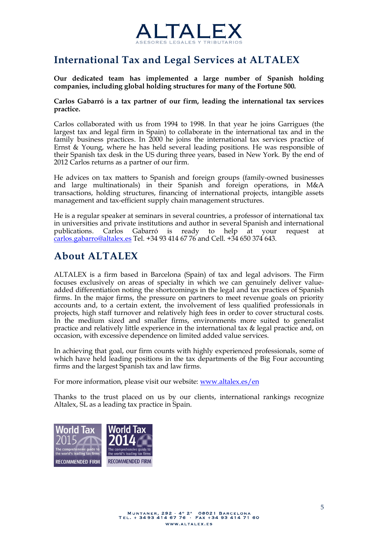

## **International Tax and Legal Services at ALTALEX**

**Our dedicated team has implemented a large number of Spanish holding companies, including global holding structures for many of the Fortune 500.**

#### **Carlos Gabarró is a tax partner of our firm, leading the international tax services practice.**

Carlos collaborated with us from 1994 to 1998. In that year he joins Garrigues (the largest tax and legal firm in Spain) to collaborate in the international tax and in the family business practices. In 2000 he joins the international tax services practice of Ernst & Young, where he has held several leading positions. He was responsible of their Spanish tax desk in the US during three years, based in New York. By the end of 2012 Carlos returns as a partner of our firm.

He advices on tax matters to Spanish and foreign groups (family-owned businesses and large multinationals) in their Spanish and foreign operations, in M&A transactions, holding structures, financing of international projects, intangible assets management and tax-efficient supply chain management structures.

He is a regular speaker at seminars in several countries, a professor of international tax in universities and private institutions and author in several Spanish and international publications. Carlos Gabarró is ready to help at your request at [carlos.gabarro@altalex.es](mailto:carlos.gabarro@altalex.es) Tel. +34 93 414 67 76 and Cell. +34 650 374 643.

## **About ALTALEX**

ALTALEX is a firm based in Barcelona (Spain) of tax and legal advisors. The Firm focuses exclusively on areas of specialty in which we can genuinely deliver valueadded differentiation noting the shortcomings in the legal and tax practices of Spanish firms. In the major firms, the pressure on partners to meet revenue goals on priority accounts and, to a certain extent, the involvement of less qualified professionals in projects, high staff turnover and relatively high fees in order to cover structural costs. In the medium sized and smaller firms, environments more suited to generalist practice and relatively little experience in the international tax & legal practice and, on occasion, with excessive dependence on limited added value services.

In achieving that goal, our firm counts with highly experienced professionals, some of which have held leading positions in the tax departments of the Big Four accounting firms and the largest Spanish tax and law firms.

For more information, please visit our website: [www.altalex.es/en](http://www.altalex.es/en)

Thanks to the trust placed on us by our clients, international rankings recognize Altalex, SL as a leading tax practice in Spain.